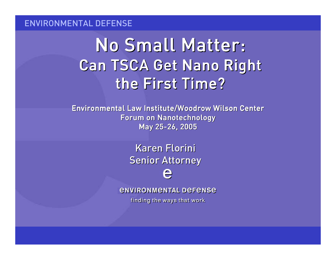## No Small Matter: Can TSCA Get Nano Right the First Time?

Environmental Law Institute/Woodrow Wilson Center Forum on Nanotechnology May 25-26, 2005

> Karen Florini Senior Attorney

*<u>ENVIRONMENTAL DEFENSE</u>* 

finding the ways that work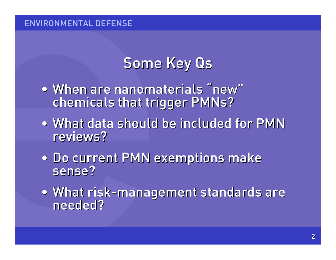- When are nanomaterials "new" chemicals that trigger PMNs?
- What data should be included for PMN reviews?
- Do current PMN exemptions make sense?
- What risk-management standards are needed?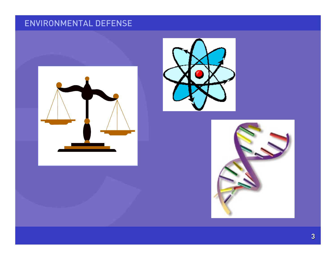



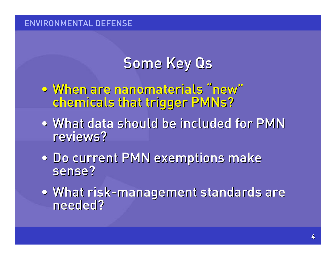- When are nanomaterials "new" chemicals that trigger PMNs?
- What data should be included for PMN reviews?
- Do current PMN exemptions make sense?
- What risk-management standards are needed?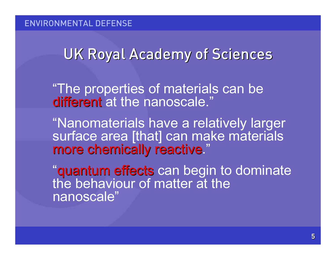UK Royal Academy of Sciences

"The properties of materials can be different at the nanoscale."

"Nanomaterials have a relatively larger surface area [that] can make materials more chemically reactive."

"quantum effects can begin to dominate the behaviour of matter at the nanoscale"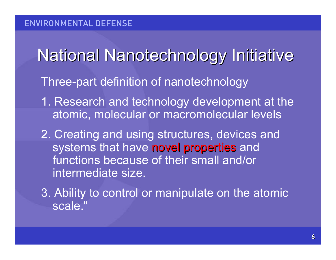National Nanotechnology Initiative

- Three-part definition of nanotechnology
- 1. Research and technology development at the atomic, molecular or macromolecular levels
- 2. Creating and using structures, devices and systems that have novel properties and functions because of their small and/or intermediate size.
- 3. Ability to control or manipulate on the atomic scale."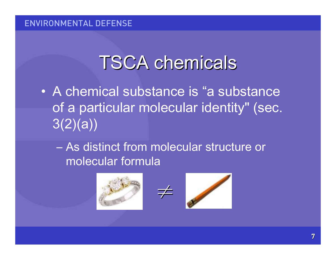## **TSCA chemicals**

- A chemical substance is "a substance" of a particular molecular identity" (sec.  $3(2)(a)$ 
	- As distinct from molecular structure or molecular formula





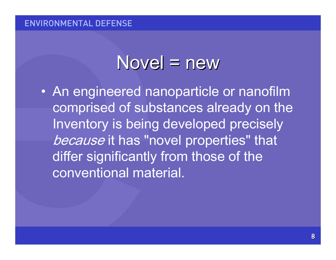## $Novel = new$

• An engineered nanoparticle or nanofilm comprised of substances already on the Inventory is being developed precisely *because* it has "novel properties" that differ significantly from those of the conventional material.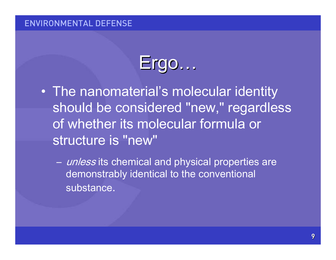

- The nanomaterial's molecular identity should be considered "new," regardless of whether its molecular formula or structure is "new"
	- unless its chemical and physical properties are demonstrably identical to the conventional substance.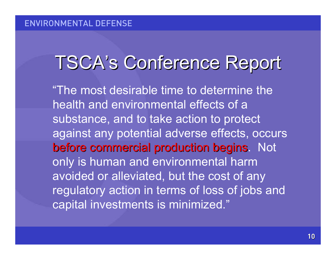## **TSCA's Conference Report**

"The most desirable time to determine the health and environmental effects of a substance, and to take action to protect against any potential adverse effects, occurs before commercial production begins. Not only is human and environmental harm avoided or alleviated, but the cost of any regulatory action in terms of loss of jobs and capital investments is minimized."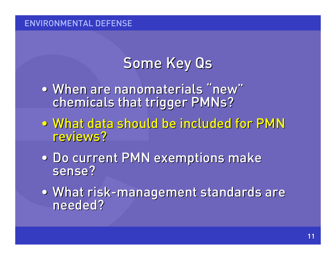- When are nanomaterials "new" chemicals that trigger PMNs?
- What data should be included for PMN reviews?
- Do current PMN exemptions make sense?
- What risk-management standards are needed?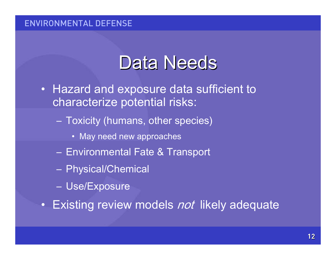## **Data Needs**

- Hazard and exposure data sufficient to characterize potential risks:
	- Toxicity (humans, other species)
		- May need new approaches
	- Environmental Fate & Transport
	- Physical/Chemical
	- Use/Exposure
- Existing review models not likely adequate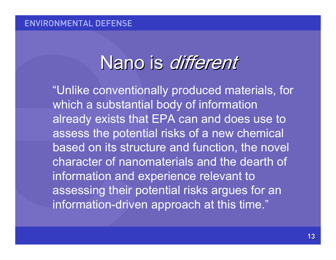## Nano is different

"Unlike conventionally produced materials, for which a substantial body of information already exists that EPA can and does use to assess the potential risks of a new chemical based on its structure and function, the novel character of nanomaterials and the dearth of information and experience relevant to assessing their potential risks argues for an information-driven approach at this time."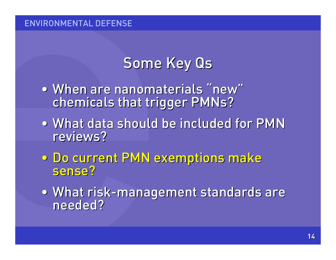- When are nanomaterials "new" chemicals that trigger PMNs?
- What data should be included for PMN reviews?
- Do current PMN exemptions make sense?
- What risk-management standards are needed?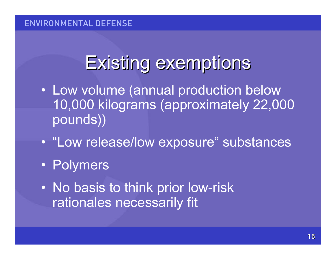# **Existing exemptions**

- Low volume (annual production below 10,000 kilograms (approximately 22,000 pounds))
- "Low release/low exposure" substances
- Polymers
- . No basis to think prior low-risk rationales necessarily fit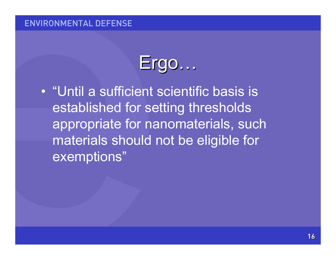

• "Until a sufficient scientific basis is established for setting thresholds appropriate for nanomaterials, such materials should not be eligible for exemptions"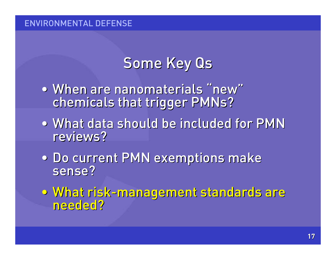- When are nanomaterials "new" chemicals that trigger PMNs?
- What data should be included for PMN reviews?
- Do current PMN exemptions make sense?
- What risk-management standards are needed?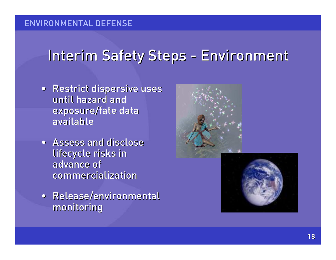## Interim Safety Steps - Environment

- Restrict dispersive uses until hazard and exposure/fate data available
- Assess and disclose lifecycle risks in advance of commercialization
- Release/environmental monitoring



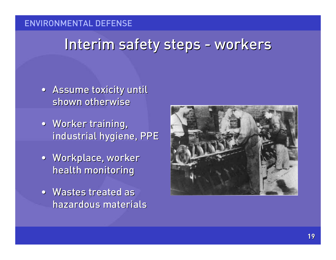### Interim safety steps - workers

- Assume toxicity until shown otherwise
- Worker training, industrial hygiene, PPE
- Workplace, worker health monitoring
- Wastes treated as hazardous materials

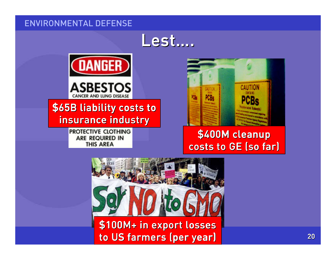### Lest….





### \$65B liability costs to insurance industry

PROTECTIVE CLOTHING ARE REQUIRED IN **THIS AREA** 



### \$400M cleanup costs to GE (so far)

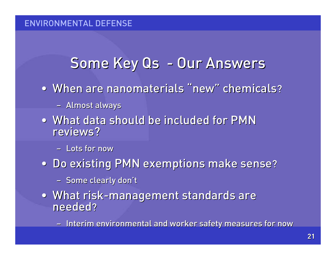### Some Key Qs - Our Answers

- When are nanomaterials "new" chemicals?
	- Almost always
- What data should be included for PMN reviews?
	- Lots for now
- Do existing PMN exemptions make sense?
	- Some clearly don't
- What risk-management standards are needed?

– Interim environmental and worker safety measures for now